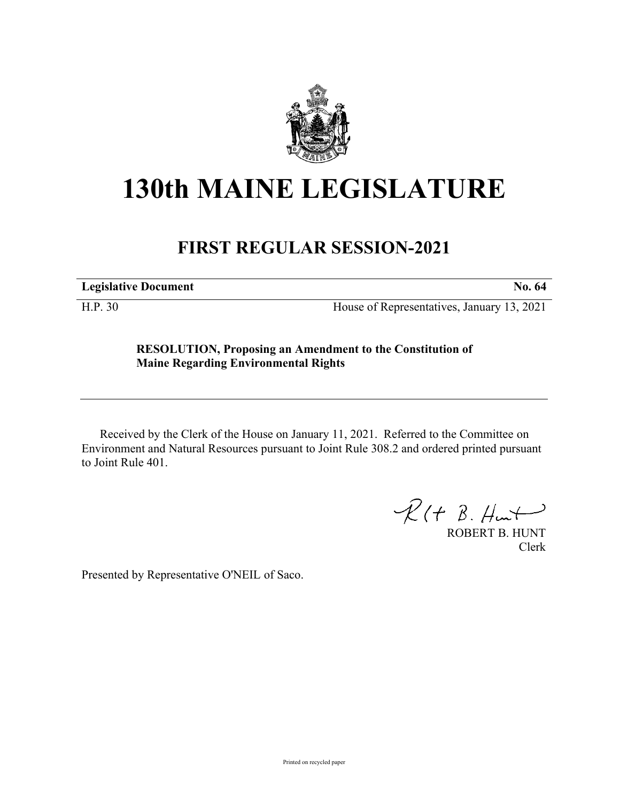

## **130th MAINE LEGISLATURE**

## **FIRST REGULAR SESSION-2021**

**Legislative Document No. 64**

H.P. 30 House of Representatives, January 13, 2021

## **RESOLUTION, Proposing an Amendment to the Constitution of Maine Regarding Environmental Rights**

Received by the Clerk of the House on January 11, 2021. Referred to the Committee on Environment and Natural Resources pursuant to Joint Rule 308.2 and ordered printed pursuant to Joint Rule 401.

 $R(H B. H<sub>un</sub>+)$ 

ROBERT B. HUNT Clerk

Presented by Representative O'NEIL of Saco.